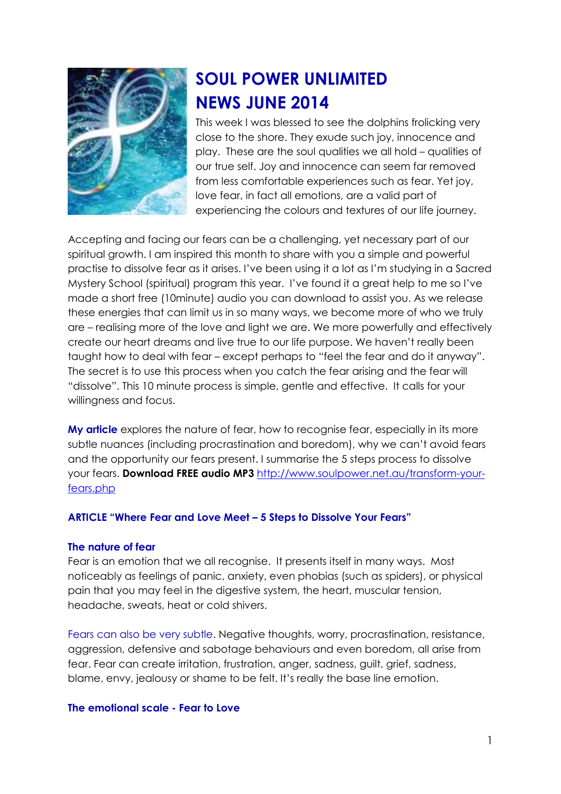

# **SOUL POWER UNLIMITED NEWS JUNE 2014**

This week I was blessed to see the dolphins frolicking very close to the shore. They exude such joy, innocence and play. These are the soul qualities we all hold – qualities of our true self. Joy and innocence can seem far removed from less comfortable experiences such as fear. Yet joy, love fear, in fact all emotions, are a valid part of experiencing the colours and textures of our life journey.

Accepting and facing our fears can be a challenging, yet necessary part of our spiritual growth. I am inspired this month to share with you a simple and powerful practise to dissolve fear as it arises. I've been using it a lot as I'm studying in a Sacred Mystery School (spiritual) program this year. I've found it a great help to me so I've made a short free (10minute) audio you can download to assist you. As we release these energies that can limit us in so many ways, we become more of who we truly are – realising more of the love and light we are. We more powerfully and effectively create our heart dreams and live true to our life purpose. We haven't really been taught how to deal with fear – except perhaps to "feel the fear and do it anyway". The secret is to use this process when you catch the fear arising and the fear will "dissolve". This 10 minute process is simple, gentle and effective. It calls for your willingness and focus.

**My article** explores the nature of fear, how to recognise fear, especially in its more subtle nuances (including procrastination and boredom), why we can't avoid fears and the opportunity our fears present. I summarise the 5 steps process to dissolve your fears. **Download FREE audio MP3** http://www.soulpower.net.au/transform-yourfears.php

### **ARTICLE "Where Fear and Love Meet – 5 Steps to Dissolve Your Fears"**

### **The nature of fear**

Fear is an emotion that we all recognise. It presents itself in many ways. Most noticeably as feelings of panic, anxiety, even phobias (such as spiders), or physical pain that you may feel in the digestive system, the heart, muscular tension, headache, sweats, heat or cold shivers.

Fears can also be very subtle. Negative thoughts, worry, procrastination, resistance, aggression, defensive and sabotage behaviours and even boredom, all arise from fear. Fear can create irritation, frustration, anger, sadness, guilt, grief, sadness, blame, envy, jealousy or shame to be felt. It's really the base line emotion.

### **The emotional scale - Fear to Love**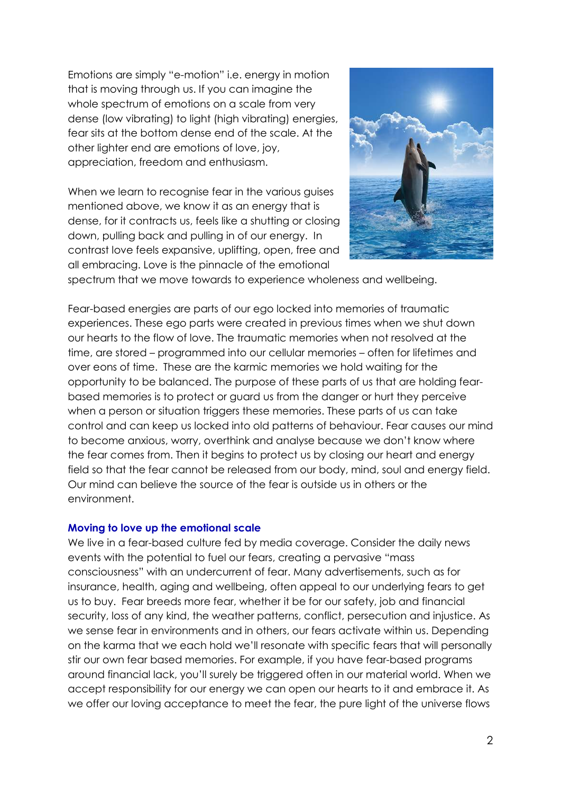Emotions are simply "e-motion" i.e. energy in motion that is moving through us. If you can imagine the whole spectrum of emotions on a scale from very dense (low vibrating) to light (high vibrating) energies, fear sits at the bottom dense end of the scale. At the other lighter end are emotions of love, joy, appreciation, freedom and enthusiasm.

When we learn to recognise fear in the various guises mentioned above, we know it as an energy that is dense, for it contracts us, feels like a shutting or closing down, pulling back and pulling in of our energy. In contrast love feels expansive, uplifting, open, free and all embracing. Love is the pinnacle of the emotional



spectrum that we move towards to experience wholeness and wellbeing.

Fear-based energies are parts of our ego locked into memories of traumatic experiences. These ego parts were created in previous times when we shut down our hearts to the flow of love. The traumatic memories when not resolved at the time, are stored – programmed into our cellular memories – often for lifetimes and over eons of time. These are the karmic memories we hold waiting for the opportunity to be balanced. The purpose of these parts of us that are holding fearbased memories is to protect or guard us from the danger or hurt they perceive when a person or situation triggers these memories. These parts of us can take control and can keep us locked into old patterns of behaviour. Fear causes our mind to become anxious, worry, overthink and analyse because we don't know where the fear comes from. Then it begins to protect us by closing our heart and energy field so that the fear cannot be released from our body, mind, soul and energy field. Our mind can believe the source of the fear is outside us in others or the environment.

### **Moving to love up the emotional scale**

We live in a fear-based culture fed by media coverage. Consider the daily news events with the potential to fuel our fears, creating a pervasive "mass consciousness" with an undercurrent of fear. Many advertisements, such as for insurance, health, aging and wellbeing, often appeal to our underlying fears to get us to buy. Fear breeds more fear, whether it be for our safety, job and financial security, loss of any kind, the weather patterns, conflict, persecution and injustice. As we sense fear in environments and in others, our fears activate within us. Depending on the karma that we each hold we'll resonate with specific fears that will personally stir our own fear based memories. For example, if you have fear-based programs around financial lack, you'll surely be triggered often in our material world. When we accept responsibility for our energy we can open our hearts to it and embrace it. As we offer our loving acceptance to meet the fear, the pure light of the universe flows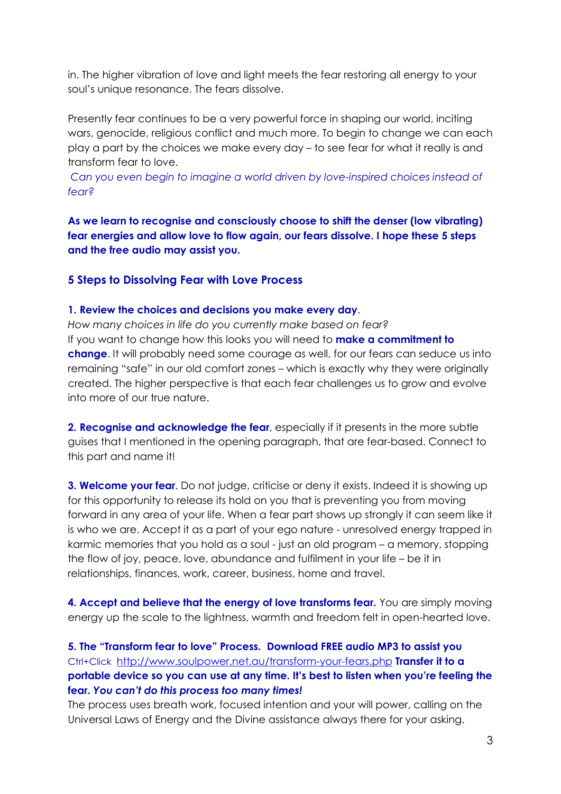in. The higher vibration of love and light meets the fear restoring all energy to your soul's unique resonance. The fears dissolve.

Presently fear continues to be a very powerful force in shaping our world, inciting wars, genocide, religious conflict and much more. To begin to change we can each play a part by the choices we make every day – to see fear for what it really is and transform fear to love.

*Can you even begin to imagine a world driven by love-inspired choices instead of fear?* 

**As we learn to recognise and consciously choose to shift the denser (low vibrating) fear energies and allow love to flow again, our fears dissolve. I hope these 5 steps and the free audio may assist you.** 

**5 Steps to Dissolving Fear with Love Process** 

#### **1. Review the choices and decisions you make every day**.

*How many choices in life do you currently make based on fear?*  If you want to change how this looks you will need to **make a commitment to change**. It will probably need some courage as well, for our fears can seduce us into remaining "safe" in our old comfort zones – which is exactly why they were originally created. The higher perspective is that each fear challenges us to grow and evolve into more of our true nature.

**2. Recognise and acknowledge the fear**, especially if it presents in the more subtle guises that I mentioned in the opening paragraph, that are fear-based. Connect to this part and name it!

**3. Welcome your fear.** Do not judge, criticise or deny it exists. Indeed it is showing up for this opportunity to release its hold on you that is preventing you from moving forward in any area of your life. When a fear part shows up strongly it can seem like it is who we are. Accept it as a part of your ego nature - unresolved energy trapped in karmic memories that you hold as a soul - just an old program – a memory, stopping the flow of joy, peace, love, abundance and fulfilment in your life – be it in relationships, finances, work, career, business, home and travel.

**4. Accept and believe that the energy of love transforms fear.** You are simply moving energy up the scale to the lightness, warmth and freedom felt in open-hearted love.

**5. The "Transform fear to love" Process. Download FREE audio MP3 to assist you**  Ctrl+Click http://www.soulpower.net.au/transform-your-fears.php **Transfer it to a portable device so you can use at any time. It's best to listen when you're feeling the fear.** *You can't do this process too many times!* 

The process uses breath work, focused intention and your will power, calling on the Universal Laws of Energy and the Divine assistance always there for your asking.